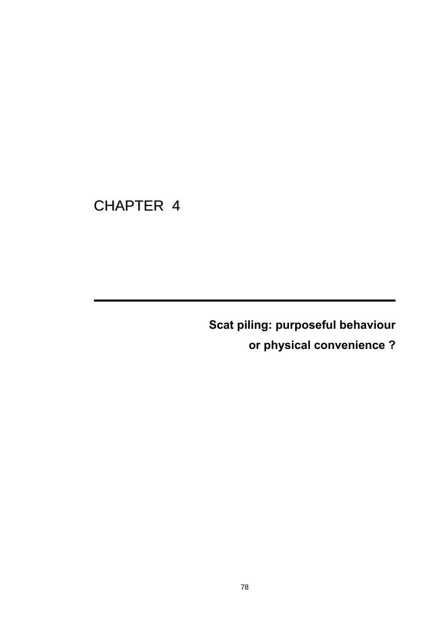# CHAPTER 4

**Scat piling: purposeful behaviour** 

**or physical convenience ?**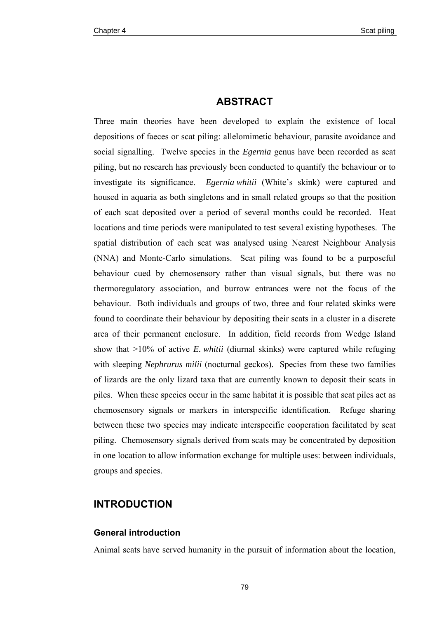# **ABSTRACT**

Three main theories have been developed to explain the existence of local depositions of faeces or scat piling: allelomimetic behaviour, parasite avoidance and social signalling. Twelve species in the *Egernia* genus have been recorded as scat piling, but no research has previously been conducted to quantify the behaviour or to investigate its significance. *Egernia whitii* (White's skink) were captured and housed in aquaria as both singletons and in small related groups so that the position of each scat deposited over a period of several months could be recorded. Heat locations and time periods were manipulated to test several existing hypotheses. The spatial distribution of each scat was analysed using Nearest Neighbour Analysis (NNA) and Monte-Carlo simulations. Scat piling was found to be a purposeful behaviour cued by chemosensory rather than visual signals, but there was no thermoregulatory association, and burrow entrances were not the focus of the behaviour. Both individuals and groups of two, three and four related skinks were found to coordinate their behaviour by depositing their scats in a cluster in a discrete area of their permanent enclosure. In addition, field records from Wedge Island show that >10% of active *E. whitii* (diurnal skinks) were captured while refuging with sleeping *Nephrurus milii* (nocturnal geckos). Species from these two families of lizards are the only lizard taxa that are currently known to deposit their scats in piles. When these species occur in the same habitat it is possible that scat piles act as chemosensory signals or markers in interspecific identification. Refuge sharing between these two species may indicate interspecific cooperation facilitated by scat piling. Chemosensory signals derived from scats may be concentrated by deposition in one location to allow information exchange for multiple uses: between individuals, groups and species.

# **INTRODUCTION**

#### **General introduction**

Animal scats have served humanity in the pursuit of information about the location,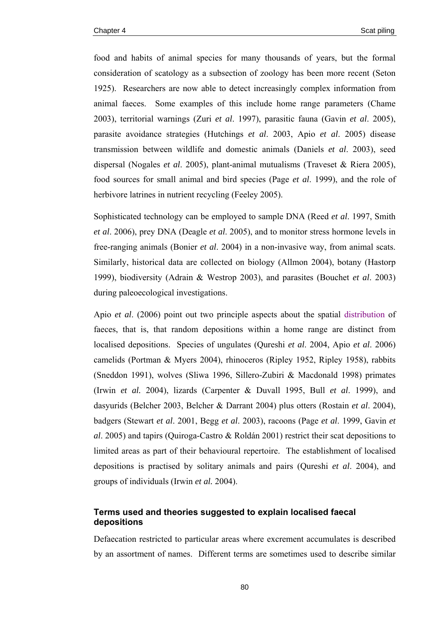food and habits of animal species for many thousands of years, but the formal consideration of scatology as a subsection of zoology has been more recent (Seton 1925). Researchers are now able to detect increasingly complex information from animal faeces. Some examples of this include home range parameters (Chame 2003), territorial warnings (Zuri *et al*. 1997), parasitic fauna (Gavin *et al*. 2005), parasite avoidance strategies (Hutchings *et al*. 2003, Apio *et al*. 2005) disease transmission between wildlife and domestic animals (Daniels *et al*. 2003), seed dispersal (Nogales *et al*. 2005), plant-animal mutualisms (Traveset & Riera 2005), food sources for small animal and bird species (Page *et al*. 1999), and the role of herbivore latrines in nutrient recycling (Feeley 2005).

Sophisticated technology can be employed to sample DNA (Reed *et al*. 1997, Smith *et al*. 2006), prey DNA (Deagle *et al*. 2005), and to monitor stress hormone levels in free-ranging animals (Bonier *et al*. 2004) in a non-invasive way, from animal scats. Similarly, historical data are collected on biology (Allmon 2004), botany (Hastorp 1999), biodiversity (Adrain & Westrop 2003), and parasites (Bouchet *et al*. 2003) during paleoecological investigations.

Apio *et al*. (2006) point out two principle aspects about the spatial distribution of faeces, that is, that random depositions within a home range are distinct from localised depositions. Species of ungulates (Qureshi *et al*. 2004, Apio *et al*. 2006) camelids (Portman & Myers 2004), rhinoceros (Ripley 1952, Ripley 1958), rabbits (Sneddon 1991), wolves (Sliwa 1996, Sillero-Zubiri & Macdonald 1998) primates (Irwin *et al.* 2004), lizards (Carpenter & Duvall 1995, Bull *et al*. 1999), and dasyurids (Belcher 2003, Belcher & Darrant 2004) plus otters (Rostain *et al*. 2004), badgers (Stewart *et al*. 2001, Begg *et al*. 2003), racoons (Page *et al*. 1999, Gavin *et al*. 2005) and tapirs (Quiroga-Castro & Roldán 2001) restrict their scat depositions to limited areas as part of their behavioural repertoire. The establishment of localised depositions is practised by solitary animals and pairs (Qureshi *et al*. 2004), and groups of individuals (Irwin *et al.* 2004).

# **Terms used and theories suggested to explain localised faecal depositions**

Defaecation restricted to particular areas where excrement accumulates is described by an assortment of names. Different terms are sometimes used to describe similar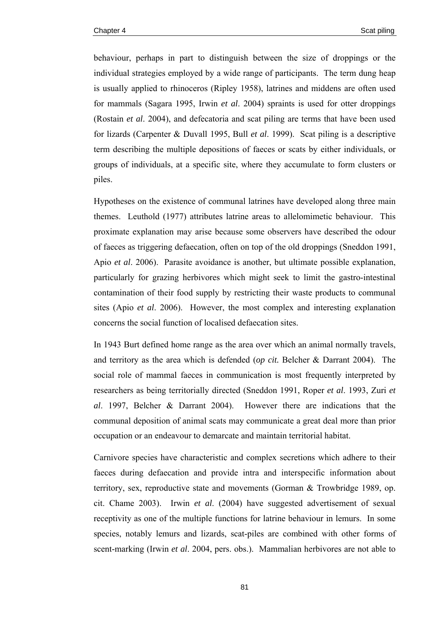behaviour, perhaps in part to distinguish between the size of droppings or the individual strategies employed by a wide range of participants. The term dung heap is usually applied to rhinoceros (Ripley 1958), latrines and middens are often used for mammals (Sagara 1995, Irwin *et al*. 2004) spraints is used for otter droppings (Rostain *et al*. 2004), and defecatoria and scat piling are terms that have been used for lizards (Carpenter & Duvall 1995, Bull *et al*. 1999). Scat piling is a descriptive term describing the multiple depositions of faeces or scats by either individuals, or groups of individuals, at a specific site, where they accumulate to form clusters or piles.

Hypotheses on the existence of communal latrines have developed along three main themes. Leuthold (1977) attributes latrine areas to allelomimetic behaviour. This proximate explanation may arise because some observers have described the odour of faeces as triggering defaecation, often on top of the old droppings (Sneddon 1991, Apio *et al*. 2006). Parasite avoidance is another, but ultimate possible explanation, particularly for grazing herbivores which might seek to limit the gastro-intestinal contamination of their food supply by restricting their waste products to communal sites (Apio *et al*. 2006). However, the most complex and interesting explanation concerns the social function of localised defaecation sites.

In 1943 Burt defined home range as the area over which an animal normally travels, and territory as the area which is defended (*op cit.* Belcher & Darrant 2004). The social role of mammal faeces in communication is most frequently interpreted by researchers as being territorially directed (Sneddon 1991, Roper *et al*. 1993, Zuri *et al*. 1997, Belcher & Darrant 2004). However there are indications that the communal deposition of animal scats may communicate a great deal more than prior occupation or an endeavour to demarcate and maintain territorial habitat.

Carnivore species have characteristic and complex secretions which adhere to their faeces during defaecation and provide intra and interspecific information about territory, sex, reproductive state and movements (Gorman & Trowbridge 1989, op. cit. Chame 2003). Irwin *et al*. (2004) have suggested advertisement of sexual receptivity as one of the multiple functions for latrine behaviour in lemurs. In some species, notably lemurs and lizards, scat-piles are combined with other forms of scent-marking (Irwin *et al*. 2004, pers. obs.). Mammalian herbivores are not able to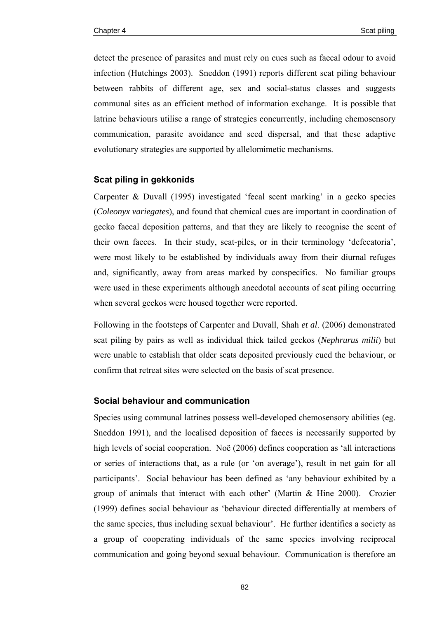detect the presence of parasites and must rely on cues such as faecal odour to avoid infection (Hutchings 2003). Sneddon (1991) reports different scat piling behaviour between rabbits of different age, sex and social-status classes and suggests communal sites as an efficient method of information exchange. It is possible that latrine behaviours utilise a range of strategies concurrently, including chemosensory communication, parasite avoidance and seed dispersal, and that these adaptive evolutionary strategies are supported by allelomimetic mechanisms.

## **Scat piling in gekkonids**

Carpenter & Duvall (1995) investigated 'fecal scent marking' in a gecko species (*Coleonyx variegates*), and found that chemical cues are important in coordination of gecko faecal deposition patterns, and that they are likely to recognise the scent of their own faeces. In their study, scat-piles, or in their terminology 'defecatoria', were most likely to be established by individuals away from their diurnal refuges and, significantly, away from areas marked by conspecifics. No familiar groups were used in these experiments although anecdotal accounts of scat piling occurring when several geckos were housed together were reported.

Following in the footsteps of Carpenter and Duvall, Shah *et al*. (2006) demonstrated scat piling by pairs as well as individual thick tailed geckos (*Nephrurus milii*) but were unable to establish that older scats deposited previously cued the behaviour, or confirm that retreat sites were selected on the basis of scat presence.

#### **Social behaviour and communication**

Species using communal latrines possess well-developed chemosensory abilities (eg. Sneddon 1991), and the localised deposition of faeces is necessarily supported by high levels of social cooperation. Noë (2006) defines cooperation as 'all interactions or series of interactions that, as a rule (or 'on average'), result in net gain for all participants'. Social behaviour has been defined as 'any behaviour exhibited by a group of animals that interact with each other' (Martin & Hine 2000). Crozier (1999) defines social behaviour as 'behaviour directed differentially at members of the same species, thus including sexual behaviour'. He further identifies a society as a group of cooperating individuals of the same species involving reciprocal communication and going beyond sexual behaviour. Communication is therefore an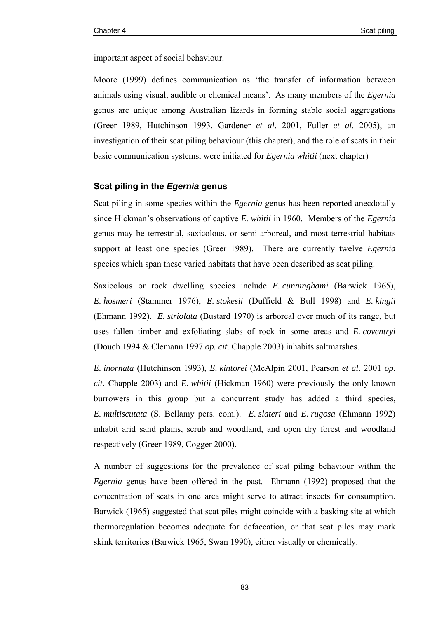important aspect of social behaviour.

Moore (1999) defines communication as 'the transfer of information between animals using visual, audible or chemical means'. As many members of the *Egernia* genus are unique among Australian lizards in forming stable social aggregations (Greer 1989, Hutchinson 1993, Gardener *et al*. 2001, Fuller *et al*. 2005), an investigation of their scat piling behaviour (this chapter), and the role of scats in their basic communication systems, were initiated for *Egernia whitii* (next chapter)

#### **Scat piling in the** *Egernia* **genus**

Scat piling in some species within the *Egernia* genus has been reported anecdotally since Hickman's observations of captive *E. whitii* in 1960. Members of the *Egernia* genus may be terrestrial, saxicolous, or semi-arboreal, and most terrestrial habitats support at least one species (Greer 1989). There are currently twelve *Egernia* species which span these varied habitats that have been described as scat piling.

Saxicolous or rock dwelling species include *E. cunninghami* (Barwick 1965), *E. hosmeri* (Stammer 1976), *E. stokesii* (Duffield & Bull 1998) and *E. kingii* (Ehmann 1992). *E. striolata* (Bustard 1970) is arboreal over much of its range, but uses fallen timber and exfoliating slabs of rock in some areas and *E. coventryi* (Douch 1994 & Clemann 1997 *op. cit*. Chapple 2003) inhabits saltmarshes.

*E. inornata* (Hutchinson 1993), *E. kintorei* (McAlpin 2001, Pearson *et al*. 2001 *op. cit*. Chapple 2003) and *E. whitii* (Hickman 1960) were previously the only known burrowers in this group but a concurrent study has added a third species, *E. multiscutata* (S. Bellamy pers. com.). *E. slateri* and *E. rugosa* (Ehmann 1992) inhabit arid sand plains, scrub and woodland, and open dry forest and woodland respectively (Greer 1989, Cogger 2000).

A number of suggestions for the prevalence of scat piling behaviour within the *Egernia* genus have been offered in the past. Ehmann (1992) proposed that the concentration of scats in one area might serve to attract insects for consumption. Barwick (1965) suggested that scat piles might coincide with a basking site at which thermoregulation becomes adequate for defaecation, or that scat piles may mark skink territories (Barwick 1965, Swan 1990), either visually or chemically.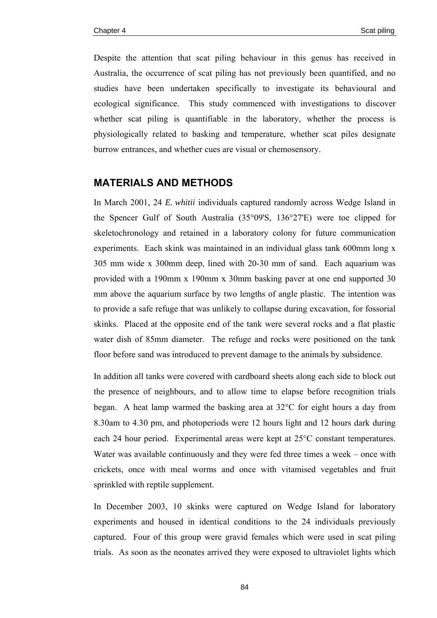Despite the attention that scat piling behaviour in this genus has received in Australia, the occurrence of scat piling has not previously been quantified, and no studies have been undertaken specifically to investigate its behavioural and ecological significance. This study commenced with investigations to discover whether scat piling is quantifiable in the laboratory, whether the process is physiologically related to basking and temperature, whether scat piles designate burrow entrances, and whether cues are visual or chemosensory.

# **MATERIALS AND METHODS**

In March 2001, 24 *E. whitii* individuals captured randomly across Wedge Island in the Spencer Gulf of South Australia (35°09'S, 136°27'E) were toe clipped for skeletochronology and retained in a laboratory colony for future communication experiments. Each skink was maintained in an individual glass tank 600mm long x 305 mm wide x 300mm deep, lined with 20-30 mm of sand. Each aquarium was provided with a 190mm x 190mm x 30mm basking paver at one end supported 30 mm above the aquarium surface by two lengths of angle plastic. The intention was to provide a safe refuge that was unlikely to collapse during excavation, for fossorial skinks. Placed at the opposite end of the tank were several rocks and a flat plastic water dish of 85mm diameter. The refuge and rocks were positioned on the tank floor before sand was introduced to prevent damage to the animals by subsidence.

In addition all tanks were covered with cardboard sheets along each side to block out the presence of neighbours, and to allow time to elapse before recognition trials began. A heat lamp warmed the basking area at 32°C for eight hours a day from 8.30am to 4.30 pm, and photoperiods were 12 hours light and 12 hours dark during each 24 hour period. Experimental areas were kept at 25°C constant temperatures. Water was available continuously and they were fed three times a week – once with crickets, once with meal worms and once with vitamised vegetables and fruit sprinkled with reptile supplement.

In December 2003, 10 skinks were captured on Wedge Island for laboratory experiments and housed in identical conditions to the 24 individuals previously captured. Four of this group were gravid females which were used in scat piling trials. As soon as the neonates arrived they were exposed to ultraviolet lights which

84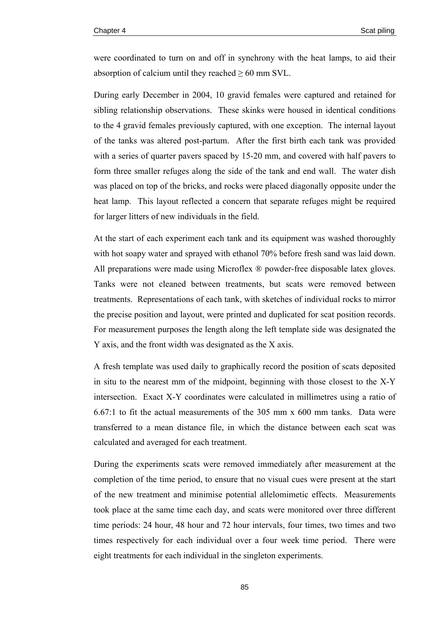were coordinated to turn on and off in synchrony with the heat lamps, to aid their absorption of calcium until they reached  $\geq 60$  mm SVL.

During early December in 2004, 10 gravid females were captured and retained for sibling relationship observations. These skinks were housed in identical conditions to the 4 gravid females previously captured, with one exception. The internal layout of the tanks was altered post-partum. After the first birth each tank was provided with a series of quarter pavers spaced by 15-20 mm, and covered with half pavers to form three smaller refuges along the side of the tank and end wall. The water dish was placed on top of the bricks, and rocks were placed diagonally opposite under the heat lamp. This layout reflected a concern that separate refuges might be required for larger litters of new individuals in the field.

At the start of each experiment each tank and its equipment was washed thoroughly with hot soapy water and sprayed with ethanol 70% before fresh sand was laid down. All preparations were made using Microflex ® powder-free disposable latex gloves. Tanks were not cleaned between treatments, but scats were removed between treatments. Representations of each tank, with sketches of individual rocks to mirror the precise position and layout, were printed and duplicated for scat position records. For measurement purposes the length along the left template side was designated the Y axis, and the front width was designated as the X axis.

A fresh template was used daily to graphically record the position of scats deposited in situ to the nearest mm of the midpoint, beginning with those closest to the X-Y intersection. Exact X-Y coordinates were calculated in millimetres using a ratio of 6.67:1 to fit the actual measurements of the 305 mm x 600 mm tanks. Data were transferred to a mean distance file, in which the distance between each scat was calculated and averaged for each treatment.

During the experiments scats were removed immediately after measurement at the completion of the time period, to ensure that no visual cues were present at the start of the new treatment and minimise potential allelomimetic effects. Measurements took place at the same time each day, and scats were monitored over three different time periods: 24 hour, 48 hour and 72 hour intervals, four times, two times and two times respectively for each individual over a four week time period. There were eight treatments for each individual in the singleton experiments.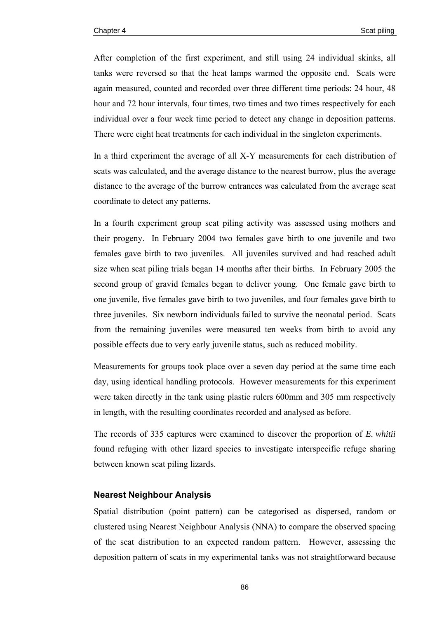After completion of the first experiment, and still using 24 individual skinks, all tanks were reversed so that the heat lamps warmed the opposite end. Scats were again measured, counted and recorded over three different time periods: 24 hour, 48 hour and 72 hour intervals, four times, two times and two times respectively for each individual over a four week time period to detect any change in deposition patterns. There were eight heat treatments for each individual in the singleton experiments.

In a third experiment the average of all X-Y measurements for each distribution of scats was calculated, and the average distance to the nearest burrow, plus the average distance to the average of the burrow entrances was calculated from the average scat coordinate to detect any patterns.

In a fourth experiment group scat piling activity was assessed using mothers and their progeny. In February 2004 two females gave birth to one juvenile and two females gave birth to two juveniles. All juveniles survived and had reached adult size when scat piling trials began 14 months after their births. In February 2005 the second group of gravid females began to deliver young. One female gave birth to one juvenile, five females gave birth to two juveniles, and four females gave birth to three juveniles. Six newborn individuals failed to survive the neonatal period. Scats from the remaining juveniles were measured ten weeks from birth to avoid any possible effects due to very early juvenile status, such as reduced mobility.

Measurements for groups took place over a seven day period at the same time each day, using identical handling protocols. However measurements for this experiment were taken directly in the tank using plastic rulers 600mm and 305 mm respectively in length, with the resulting coordinates recorded and analysed as before.

The records of 335 captures were examined to discover the proportion of *E. whitii* found refuging with other lizard species to investigate interspecific refuge sharing between known scat piling lizards.

## **Nearest Neighbour Analysis**

Spatial distribution (point pattern) can be categorised as dispersed, random or clustered using Nearest Neighbour Analysis (NNA) to compare the observed spacing of the scat distribution to an expected random pattern. However, assessing the deposition pattern of scats in my experimental tanks was not straightforward because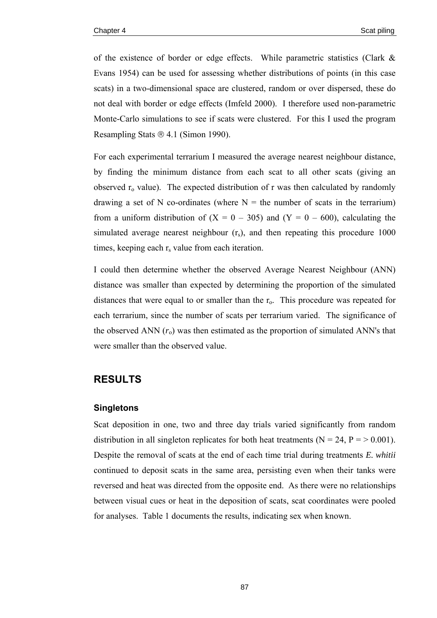of the existence of border or edge effects. While parametric statistics (Clark & Evans 1954) can be used for assessing whether distributions of points (in this case scats) in a two-dimensional space are clustered, random or over dispersed, these do not deal with border or edge effects (Imfeld 2000). I therefore used non-parametric Monte-Carlo simulations to see if scats were clustered. For this I used the program Resampling Stats ® 4.1 (Simon 1990).

For each experimental terrarium I measured the average nearest neighbour distance, by finding the minimum distance from each scat to all other scats (giving an observed  $r_0$  value). The expected distribution of r was then calculated by randomly drawing a set of N co-ordinates (where  $N =$  the number of scats in the terrarium) from a uniform distribution of  $(X = 0 - 305)$  and  $(Y = 0 - 600)$ , calculating the simulated average nearest neighbour  $(r<sub>s</sub>)$ , and then repeating this procedure 1000 times, keeping each  $r<sub>s</sub>$  value from each iteration.

I could then determine whether the observed Average Nearest Neighbour (ANN) distance was smaller than expected by determining the proportion of the simulated distances that were equal to or smaller than the  $r<sub>o</sub>$ . This procedure was repeated for each terrarium, since the number of scats per terrarium varied. The significance of the observed ANN  $(r_0)$  was then estimated as the proportion of simulated ANN's that were smaller than the observed value.

# **RESULTS**

#### **Singletons**

Scat deposition in one, two and three day trials varied significantly from random distribution in all singleton replicates for both heat treatments ( $N = 24$ ,  $P = > 0.001$ ). Despite the removal of scats at the end of each time trial during treatments *E. whitii* continued to deposit scats in the same area, persisting even when their tanks were reversed and heat was directed from the opposite end. As there were no relationships between visual cues or heat in the deposition of scats, scat coordinates were pooled for analyses. Table 1 documents the results, indicating sex when known.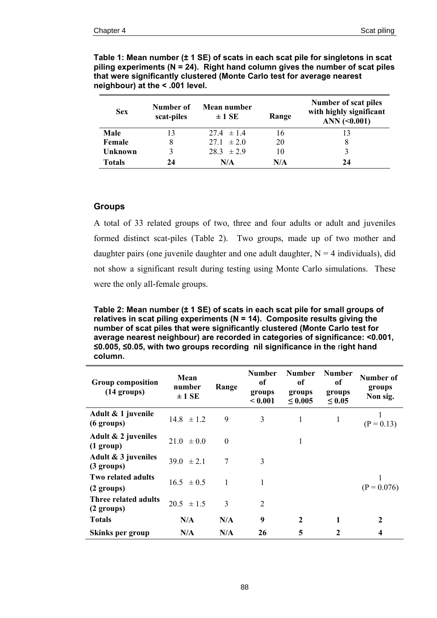| <b>Sex</b>     | Number of<br>scat-piles | Mean number<br>$\pm$ 1 SE | Range | Number of scat piles<br>with highly significant<br>ANN $(0.001)$ |
|----------------|-------------------------|---------------------------|-------|------------------------------------------------------------------|
| Male           | 13                      | $27.4 \pm 1.4$            | 16    |                                                                  |
| Female         | 8                       | $27.1 \pm 2.0$            | 20    | 8                                                                |
| <b>Unknown</b> | $\mathbf{3}$            | $283 \pm 29$              | 10    |                                                                  |
| <b>Totals</b>  | 24                      | N/A                       | N/A   | 24                                                               |

**Table 1: Mean number (± 1 SE) of scats in each scat pile for singletons in scat piling experiments (N = 24). Right hand column gives the number of scat piles that were significantly clustered (Monte Carlo test for average nearest neighbour) at the < .001 level.** 

## **Groups**

A total of 33 related groups of two, three and four adults or adult and juveniles formed distinct scat-piles (Table 2). Two groups, made up of two mother and daughter pairs (one juvenile daughter and one adult daughter,  $N = 4$  individuals), did not show a significant result during testing using Monte Carlo simulations. These were the only all-female groups.

**Table 2: Mean number (± 1 SE) of scats in each scat pile for small groups of relatives in scat piling experiments (N = 14). Composite results giving the number of scat piles that were significantly clustered (Monte Carlo test for average nearest neighbour) are recorded in categories of significance: <0.001, ≤0.005, ≤0.05, with two groups recording nil significance in the** r**ight hand column.** 

| <b>Group composition</b><br>$(14 \text{ groups})$ | Mean<br>number<br>$\pm$ 1 SE | Range          | <b>Number</b><br>of<br>groups<br>< 0.001 | <b>Number</b><br>of<br>groups<br>$\leq 0.005$ | <b>Number</b><br><sub>of</sub><br>groups<br>$\leq 0.05$ | Number of<br>groups<br>Non sig. |
|---------------------------------------------------|------------------------------|----------------|------------------------------------------|-----------------------------------------------|---------------------------------------------------------|---------------------------------|
| Adult & 1 juvenile<br>(6 groups)                  | $14.8 \pm 1.2$               | 9              | 3                                        | 1                                             | 1                                                       | $(P = 0.13)$                    |
| Adult $\& 2$ juveniles<br>$(1 \text{ group})$     | $21.0 \pm 0.0$               | $\Omega$       |                                          | 1                                             |                                                         |                                 |
| Adult & 3 juveniles<br>$(3 \text{ groups})$       | 39 0 $\pm$ 2 1               | 7              | 3                                        |                                               |                                                         |                                 |
| Two related adults<br>$(2 \text{ groups})$        | $16.5 \pm 0.5$               | $\overline{1}$ | 1                                        |                                               |                                                         | $(P = 0.076)$                   |
| Three related adults<br>$(2 \text{ groups})$      | $20.5 \pm 1.5$               | 3              | $\overline{2}$                           |                                               |                                                         |                                 |
| <b>Totals</b>                                     | N/A                          | N/A            | 9                                        | $\boldsymbol{2}$                              | 1                                                       | 2                               |
| Skinks per group                                  | N/A                          | N/A            | 26                                       | 5                                             | $\mathbf{2}$                                            | 4                               |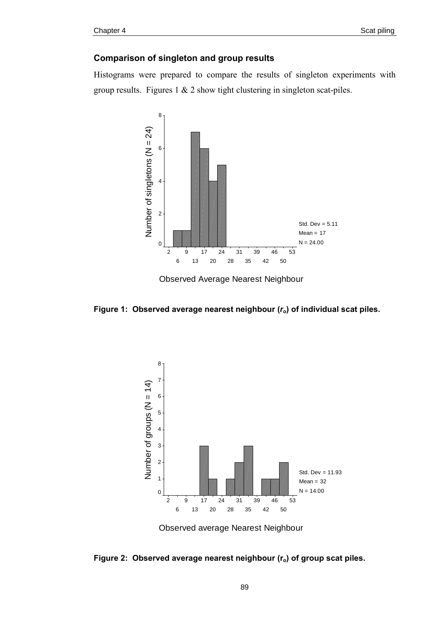## **Comparison of singleton and group results**

Histograms were prepared to compare the results of singleton experiments with group results. Figures  $1 \& 2$  show tight clustering in singleton scat-piles.



Observed Average Nearest Neighbour





Observed average Nearest Neighbour

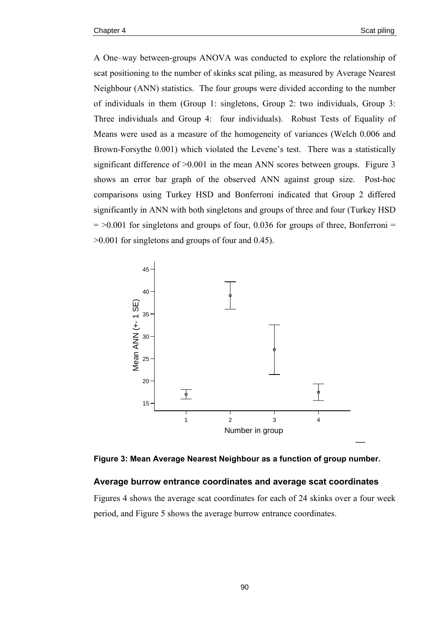A One–way between-groups ANOVA was conducted to explore the relationship of scat positioning to the number of skinks scat piling, as measured by Average Nearest Neighbour (ANN) statistics. The four groups were divided according to the number of individuals in them (Group 1: singletons, Group 2: two individuals, Group 3: Three individuals and Group 4: four individuals). Robust Tests of Equality of Means were used as a measure of the homogeneity of variances (Welch 0.006 and Brown-Forsythe 0.001) which violated the Levene's test. There was a statistically significant difference of  $>0.001$  in the mean ANN scores between groups. Figure 3 shows an error bar graph of the observed ANN against group size. Post-hoc comparisons using Turkey HSD and Bonferroni indicated that Group 2 differed significantly in ANN with both singletons and groups of three and four (Turkey HSD  $=$  >0.001 for singletons and groups of four, 0.036 for groups of three, Bonferroni = >0.001 for singletons and groups of four and 0.45).



**Figure 3: Mean Average Nearest Neighbour as a function of group number.** 

#### **Average burrow entrance coordinates and average scat coordinates**

Figures 4 shows the average scat coordinates for each of 24 skinks over a four week period, and Figure 5 shows the average burrow entrance coordinates.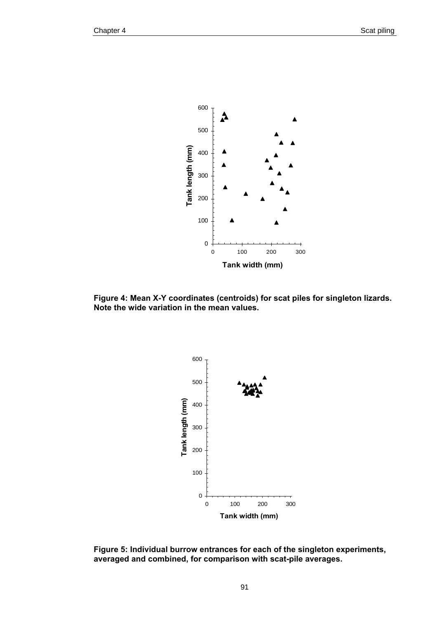

**Figure 4: Mean X-Y coordinates (centroids) for scat piles for singleton lizards. Note the wide variation in the mean values.** 



**Figure 5: Individual burrow entrances for each of the singleton experiments, averaged and combined, for comparison with scat-pile averages.**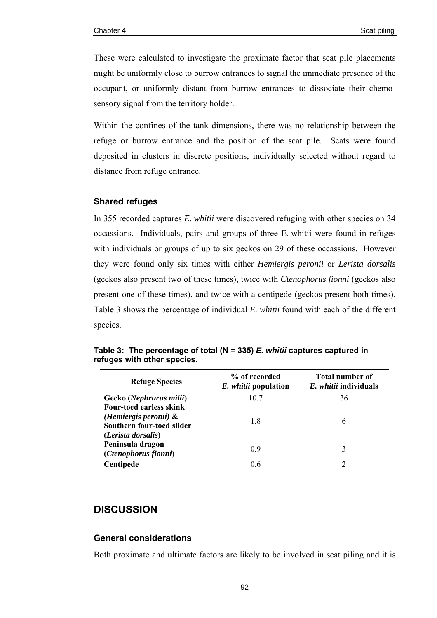These were calculated to investigate the proximate factor that scat pile placements might be uniformly close to burrow entrances to signal the immediate presence of the occupant, or uniformly distant from burrow entrances to dissociate their chemosensory signal from the territory holder.

Within the confines of the tank dimensions, there was no relationship between the refuge or burrow entrance and the position of the scat pile. Scats were found deposited in clusters in discrete positions, individually selected without regard to distance from refuge entrance.

## **Shared refuges**

In 355 recorded captures *E. whitii* were discovered refuging with other species on 34 occassions. Individuals, pairs and groups of three E. whitii were found in refuges with individuals or groups of up to six geckos on 29 of these occassions. However they were found only six times with either *Hemiergis peronii* or *Lerista dorsalis* (geckos also present two of these times), twice with *Ctenophorus fionni* (geckos also present one of these times), and twice with a centipede (geckos present both times). Table 3 shows the percentage of individual *E. whitii* found with each of the different species.

| <b>Refuge Species</b>                                                                                         | % of recorded<br><i>E. whitii</i> population | Total number of<br>E. whitii individuals |  |  |
|---------------------------------------------------------------------------------------------------------------|----------------------------------------------|------------------------------------------|--|--|
| Gecko (Nephrurus milii)                                                                                       | 10.7                                         | 36                                       |  |  |
| <b>Four-toed earless skink</b><br>(Hemiergis peronii) $\&$<br>Southern four-toed slider<br>(Lerista dorsalis) | 1.8                                          | 6                                        |  |  |
| Peninsula dragon<br>(Ctenophorus fionni)                                                                      | 09                                           | 3                                        |  |  |
| Centipede                                                                                                     | 0.6                                          | $\mathcal{D}$                            |  |  |

**Table 3: The percentage of total (N = 335)** *E. whitii* **captures captured in refuges with other species.** 

# **DISCUSSION**

#### **General considerations**

Both proximate and ultimate factors are likely to be involved in scat piling and it is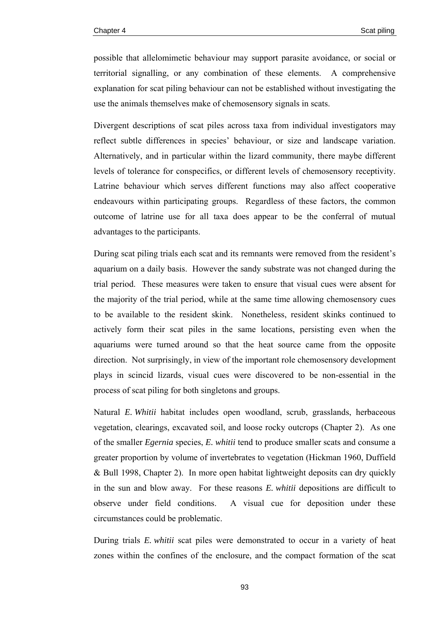possible that allelomimetic behaviour may support parasite avoidance, or social or territorial signalling, or any combination of these elements. A comprehensive explanation for scat piling behaviour can not be established without investigating the use the animals themselves make of chemosensory signals in scats.

Divergent descriptions of scat piles across taxa from individual investigators may reflect subtle differences in species' behaviour, or size and landscape variation. Alternatively, and in particular within the lizard community, there maybe different levels of tolerance for conspecifics, or different levels of chemosensory receptivity. Latrine behaviour which serves different functions may also affect cooperative endeavours within participating groups. Regardless of these factors, the common outcome of latrine use for all taxa does appear to be the conferral of mutual advantages to the participants.

During scat piling trials each scat and its remnants were removed from the resident's aquarium on a daily basis. However the sandy substrate was not changed during the trial period. These measures were taken to ensure that visual cues were absent for the majority of the trial period, while at the same time allowing chemosensory cues to be available to the resident skink. Nonetheless, resident skinks continued to actively form their scat piles in the same locations, persisting even when the aquariums were turned around so that the heat source came from the opposite direction. Not surprisingly, in view of the important role chemosensory development plays in scincid lizards, visual cues were discovered to be non-essential in the process of scat piling for both singletons and groups.

Natural *E. Whitii* habitat includes open woodland, scrub, grasslands, herbaceous vegetation, clearings, excavated soil, and loose rocky outcrops (Chapter 2). As one of the smaller *Egernia* species, *E. whitii* tend to produce smaller scats and consume a greater proportion by volume of invertebrates to vegetation (Hickman 1960, Duffield & Bull 1998, Chapter 2). In more open habitat lightweight deposits can dry quickly in the sun and blow away. For these reasons *E. whitii* depositions are difficult to observe under field conditions. A visual cue for deposition under these circumstances could be problematic.

During trials *E. whitii* scat piles were demonstrated to occur in a variety of heat zones within the confines of the enclosure, and the compact formation of the scat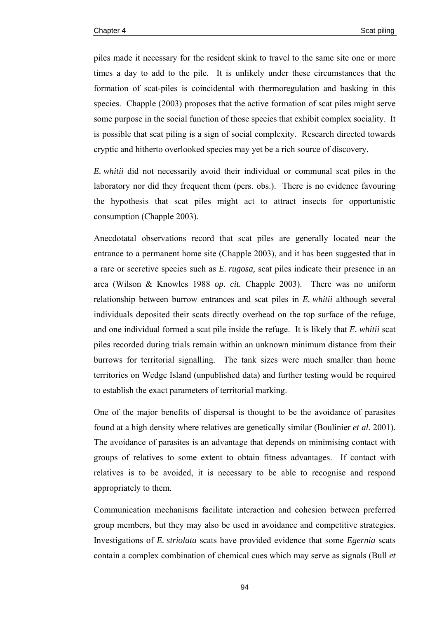piles made it necessary for the resident skink to travel to the same site one or more times a day to add to the pile. It is unlikely under these circumstances that the formation of scat-piles is coincidental with thermoregulation and basking in this species. Chapple (2003) proposes that the active formation of scat piles might serve some purpose in the social function of those species that exhibit complex sociality. It is possible that scat piling is a sign of social complexity. Research directed towards cryptic and hitherto overlooked species may yet be a rich source of discovery.

*E. whitii* did not necessarily avoid their individual or communal scat piles in the laboratory nor did they frequent them (pers. obs.). There is no evidence favouring the hypothesis that scat piles might act to attract insects for opportunistic consumption (Chapple 2003).

Anecdotatal observations record that scat piles are generally located near the entrance to a permanent home site (Chapple 2003), and it has been suggested that in a rare or secretive species such as *E. rugosa,* scat piles indicate their presence in an area (Wilson & Knowles 1988 *op. cit.* Chapple 2003). There was no uniform relationship between burrow entrances and scat piles in *E. whitii* although several individuals deposited their scats directly overhead on the top surface of the refuge, and one individual formed a scat pile inside the refuge. It is likely that *E. whitii* scat piles recorded during trials remain within an unknown minimum distance from their burrows for territorial signalling. The tank sizes were much smaller than home territories on Wedge Island (unpublished data) and further testing would be required to establish the exact parameters of territorial marking.

One of the major benefits of dispersal is thought to be the avoidance of parasites found at a high density where relatives are genetically similar (Boulinier *et al.* 2001). The avoidance of parasites is an advantage that depends on minimising contact with groups of relatives to some extent to obtain fitness advantages. If contact with relatives is to be avoided, it is necessary to be able to recognise and respond appropriately to them.

Communication mechanisms facilitate interaction and cohesion between preferred group members, but they may also be used in avoidance and competitive strategies. Investigations of *E. striolata* scats have provided evidence that some *Egernia* scats contain a complex combination of chemical cues which may serve as signals (Bull *et*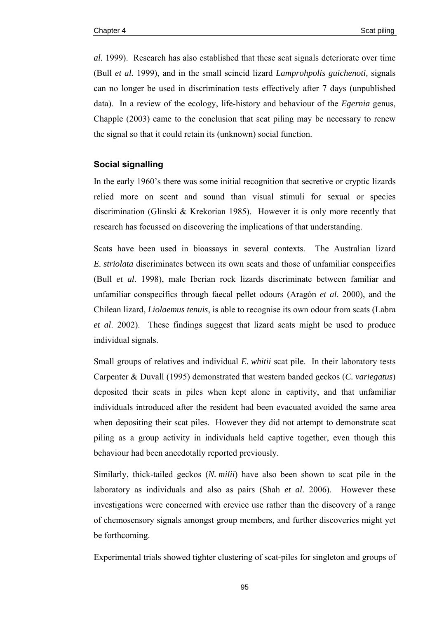*al.* 1999). Research has also established that these scat signals deteriorate over time (Bull *et al.* 1999), and in the small scincid lizard *Lamprohpolis guichenoti,* signals can no longer be used in discrimination tests effectively after 7 days (unpublished data). In a review of the ecology, life-history and behaviour of the *Egernia* genus, Chapple (2003) came to the conclusion that scat piling may be necessary to renew the signal so that it could retain its (unknown) social function.

## **Social signalling**

In the early 1960's there was some initial recognition that secretive or cryptic lizards relied more on scent and sound than visual stimuli for sexual or species discrimination (Glinski & Krekorian 1985). However it is only more recently that research has focussed on discovering the implications of that understanding.

Scats have been used in bioassays in several contexts. The Australian lizard *E. striolata* discriminates between its own scats and those of unfamiliar conspecifics (Bull *et al*. 1998), male Iberian rock lizards discriminate between familiar and unfamiliar conspecifics through faecal pellet odours (Aragón *et al*. 2000), and the Chilean lizard, *Liolaemus tenuis*, is able to recognise its own odour from scats (Labra *et al*. 2002). These findings suggest that lizard scats might be used to produce individual signals.

Small groups of relatives and individual *E. whitii* scat pile. In their laboratory tests Carpenter & Duvall (1995) demonstrated that western banded geckos (*C. variegatus*) deposited their scats in piles when kept alone in captivity, and that unfamiliar individuals introduced after the resident had been evacuated avoided the same area when depositing their scat piles. However they did not attempt to demonstrate scat piling as a group activity in individuals held captive together, even though this behaviour had been anecdotally reported previously.

Similarly, thick-tailed geckos (*N. milii*) have also been shown to scat pile in the laboratory as individuals and also as pairs (Shah *et al*. 2006). However these investigations were concerned with crevice use rather than the discovery of a range of chemosensory signals amongst group members, and further discoveries might yet be forthcoming.

Experimental trials showed tighter clustering of scat-piles for singleton and groups of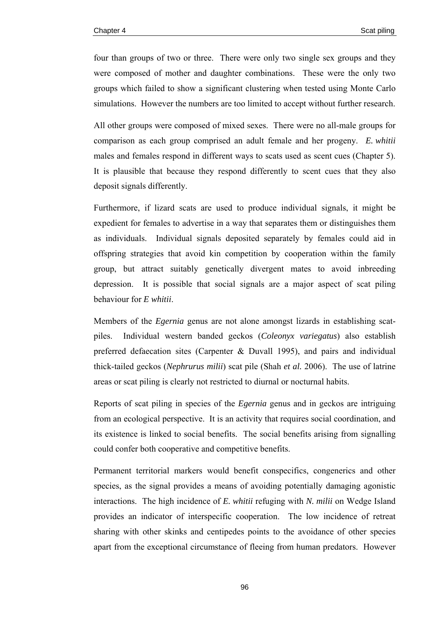four than groups of two or three. There were only two single sex groups and they were composed of mother and daughter combinations. These were the only two groups which failed to show a significant clustering when tested using Monte Carlo simulations. However the numbers are too limited to accept without further research.

All other groups were composed of mixed sexes. There were no all-male groups for comparison as each group comprised an adult female and her progeny. *E. whitii* males and females respond in different ways to scats used as scent cues (Chapter 5). It is plausible that because they respond differently to scent cues that they also deposit signals differently.

Furthermore, if lizard scats are used to produce individual signals, it might be expedient for females to advertise in a way that separates them or distinguishes them as individuals. Individual signals deposited separately by females could aid in offspring strategies that avoid kin competition by cooperation within the family group, but attract suitably genetically divergent mates to avoid inbreeding depression. It is possible that social signals are a major aspect of scat piling behaviour for *E whitii*.

Members of the *Egernia* genus are not alone amongst lizards in establishing scatpiles. Individual western banded geckos (*Coleonyx variegatus*) also establish preferred defaecation sites (Carpenter & Duvall 1995), and pairs and individual thick-tailed geckos (*Nephrurus milii*) scat pile (Shah *et al.* 2006). The use of latrine areas or scat piling is clearly not restricted to diurnal or nocturnal habits.

Reports of scat piling in species of the *Egernia* genus and in geckos are intriguing from an ecological perspective. It is an activity that requires social coordination, and its existence is linked to social benefits. The social benefits arising from signalling could confer both cooperative and competitive benefits.

Permanent territorial markers would benefit conspecifics, congenerics and other species, as the signal provides a means of avoiding potentially damaging agonistic interactions. The high incidence of *E. whitii* refuging with *N. milii* on Wedge Island provides an indicator of interspecific cooperation. The low incidence of retreat sharing with other skinks and centipedes points to the avoidance of other species apart from the exceptional circumstance of fleeing from human predators. However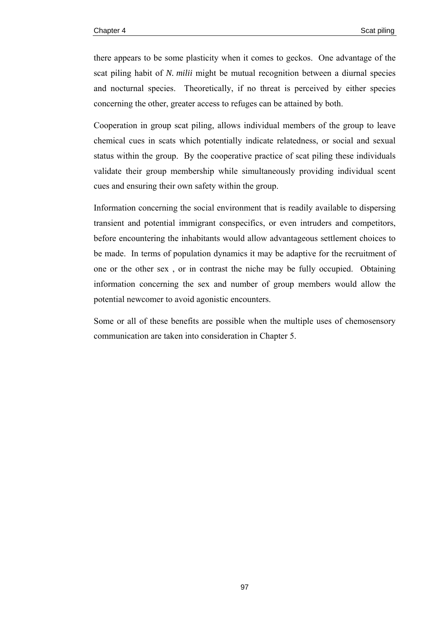there appears to be some plasticity when it comes to geckos. One advantage of the scat piling habit of *N. milii* might be mutual recognition between a diurnal species and nocturnal species. Theoretically, if no threat is perceived by either species concerning the other, greater access to refuges can be attained by both.

Cooperation in group scat piling, allows individual members of the group to leave chemical cues in scats which potentially indicate relatedness, or social and sexual status within the group. By the cooperative practice of scat piling these individuals validate their group membership while simultaneously providing individual scent cues and ensuring their own safety within the group.

Information concerning the social environment that is readily available to dispersing transient and potential immigrant conspecifics, or even intruders and competitors, before encountering the inhabitants would allow advantageous settlement choices to be made. In terms of population dynamics it may be adaptive for the recruitment of one or the other sex , or in contrast the niche may be fully occupied. Obtaining information concerning the sex and number of group members would allow the potential newcomer to avoid agonistic encounters.

Some or all of these benefits are possible when the multiple uses of chemosensory communication are taken into consideration in Chapter 5.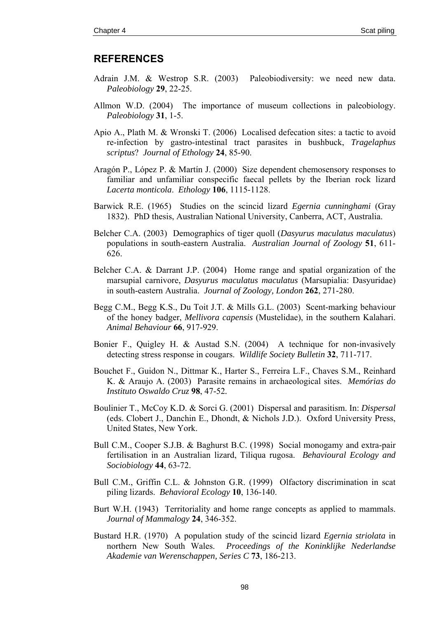## **REFERENCES**

- Adrain J.M. & Westrop S.R. (2003) Paleobiodiversity: we need new data. *Paleobiology* **29**, 22-25.
- Allmon W.D. (2004) The importance of museum collections in paleobiology. *Paleobiology* **31**, 1-5.
- Apio A., Plath M. & Wronski T. (2006) Localised defecation sites: a tactic to avoid re-infection by gastro-intestinal tract parasites in bushbuck, *Tragelaphus scriptus*? *Journal of Ethology* **24**, 85-90.
- Aragón P., López P. & Martín J. (2000) Size dependent chemosensory responses to familiar and unfamiliar conspecific faecal pellets by the Iberian rock lizard *Lacerta monticola*. *Ethology* **106**, 1115-1128.
- Barwick R.E. (1965) Studies on the scincid lizard *Egernia cunninghami* (Gray 1832). PhD thesis, Australian National University, Canberra, ACT, Australia.
- Belcher C.A. (2003) Demographics of tiger quoll (*Dasyurus maculatus maculatus*) populations in south-eastern Australia. *Australian Journal of Zoology* **51**, 611- 626.
- Belcher C.A. & Darrant J.P. (2004) Home range and spatial organization of the marsupial carnivore, *Dasyurus maculatus maculatus* (Marsupialia: Dasyuridae) in south-eastern Australia. *Journal of Zoology, London* **262**, 271-280.
- Begg C.M., Begg K.S., Du Toit J.T. & Mills G.L. (2003) Scent-marking behaviour of the honey badger, *Mellivora capensis* (Mustelidae), in the southern Kalahari. *Animal Behaviour* **66**, 917-929.
- Bonier F., Quigley H. & Austad S.N. (2004) A technique for non-invasively detecting stress response in cougars. *Wildlife Society Bulletin* **32**, 711-717.
- Bouchet F., Guidon N., Dittmar K., Harter S., Ferreira L.F., Chaves S.M., Reinhard K. & Araujo A. (2003) Parasite remains in archaeological sites. *Memórias do Instituto Oswaldo Cruz* **98**, 47-52*.*
- Boulinier T., McCoy K.D. & Sorci G. (2001) Dispersal and parasitism. In: *Dispersal* (eds. Clobert J., Danchin E., Dhondt, & Nichols J.D.). Oxford University Press, United States, New York.
- Bull C.M., Cooper S.J.B. & Baghurst B.C. (1998) Social monogamy and extra-pair fertilisation in an Australian lizard, Tiliqua rugosa. *Behavioural Ecology and Sociobiology* **44**, 63-72.
- Bull C.M., Griffin C.L. & Johnston G.R. (1999) Olfactory discrimination in scat piling lizards. *Behavioral Ecology* **10**, 136-140.
- Burt W.H. (1943) Territoriality and home range concepts as applied to mammals. *Journal of Mammalogy* **24**, 346-352.
- Bustard H.R. (1970) A population study of the scincid lizard *Egernia striolata* in northern New South Wales. *Proceedings of the Koninklijke Nederlandse Akademie van Werenschappen, Series C* **73**, 186-213.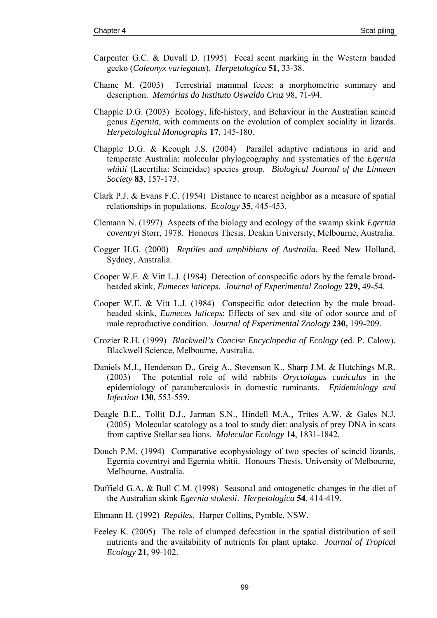- Carpenter G.C. & Duvall D. (1995) Fecal scent marking in the Western banded gecko (*Coleonyx variegatus*). *Herpetologica* **51**, 33-38.
- Chame M. (2003) Terrestrial mammal feces: a morphometric summary and description. *Memórias do Instituto Oswaldo Cruz* 98, 71-94.
- Chapple D.G. (2003) Ecology, life-history, and Behaviour in the Australian scincid genus *Egernia*, with comments on the evolution of complex sociality in lizards. *Herpetological Monographs* **17**, 145-180.
- Chapple D.G. & Keough J.S. (2004) Parallel adaptive radiations in arid and temperate Australia: molecular phylogeography and systematics of the *Egernia whitii* (Lacertilia: Scincidae) species group. *Biological Journal of the Linnean Society* **83**, 157-173.
- Clark P.J. & Evans F.C. (1954) Distance to nearest neighbor as a measure of spatial relationships in populations. *Ecology* **35**, 445-453.
- Clemann N. (1997) Aspects of the biology and ecology of the swamp skink *Egernia coventryi* Storr, 1978. Honours Thesis, Deakin University, Melbourne, Australia.
- Cogger H.G. (2000) *Reptiles and amphibians of Australia.* Reed New Holland, Sydney, Australia.
- Cooper W.E. & Vitt L.J. (1984) Detection of conspecific odors by the female broadheaded skink, *Eumeces laticeps*. *Journal of Experimental Zoology* **229,** 49-54.
- Cooper W.E. & Vitt L.J. (1984) Conspecific odor detection by the male broadheaded skink, *Eumeces laticeps*: Effects of sex and site of odor source and of male reproductive condition. *Journal of Experimental Zoology* **230,** 199-209.
- Crozier R.H. (1999) *Blackwell's Concise Encyclopedia of Ecology* (ed. P. Calow). Blackwell Science, Melbourne, Australia.
- Daniels M.J., Henderson D., Greig A., Stevenson K., Sharp J.M. & Hutchings M.R. (2003) The potential role of wild rabbits *Oryctolagus cuniculus* in the epidemiology of paratuberculosis in domestic ruminants. *Epidemiology and Infection* **130**, 553-559.
- Deagle B.E., Tollit D.J., Jarman S.N., Hindell M.A., Trites A.W. & Gales N.J. (2005) Molecular scatology as a tool to study diet: analysis of prey DNA in scats from captive Stellar sea lions. *Molecular Ecology* **14**, 1831-1842.
- Douch P.M. (1994) Comparative ecophysiology of two species of scincid lizards, Egernia coventryi and Egernia whitii. Honours Thesis, University of Melbourne, Melbourne, Australia.
- Duffield G.A. & Bull C.M. (1998) Seasonal and ontogenetic changes in the diet of the Australian skink *Egernia stokesii*. *Herpetologica* **54**, 414-419.
- Ehmann H. (1992) *Reptiles*. Harper Collins, Pymble, NSW.
- Feeley K. (2005) The role of clumped defecation in the spatial distribution of soil nutrients and the availability of nutrients for plant uptake. *Journal of Tropical Ecology* **21**, 99-102.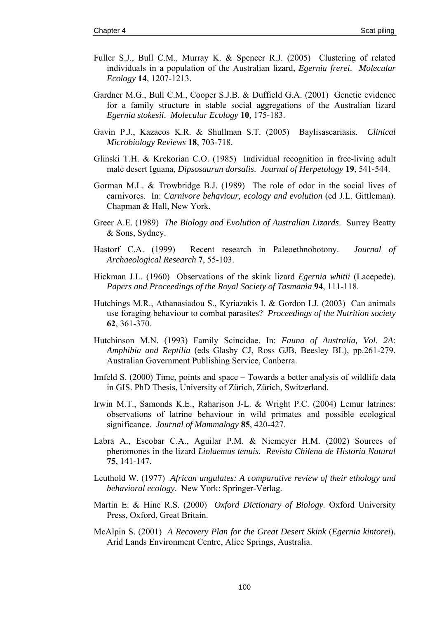- Fuller S.J., Bull C.M., Murray K. & Spencer R.J. (2005) Clustering of related individuals in a population of the Australian lizard, *Egernia frerei*. *Molecular Ecology* **14**, 1207-1213.
- Gardner M.G., Bull C.M., Cooper S.J.B. & Duffield G.A. (2001) Genetic evidence for a family structure in stable social aggregations of the Australian lizard *Egernia stokesii*. *Molecular Ecology* **10**, 175-183.
- Gavin P.J., Kazacos K.R. & Shullman S.T. (2005) Baylisascariasis. *Clinical Microbiology Reviews* **18**, 703-718.
- Glinski T.H. & Krekorian C.O. (1985) Individual recognition in free-living adult male desert Iguana, *Dipsosauran dorsalis*. *Journal of Herpetology* **19**, 541-544.
- Gorman M.L. & Trowbridge B.J. (1989) The role of odor in the social lives of carnivores. In: *Carnivore behaviour, ecology and evolution* (ed J.L. Gittleman). Chapman & Hall, New York.
- Greer A.E. (1989) *The Biology and Evolution of Australian Lizards*. Surrey Beatty & Sons, Sydney.
- Hastorf C.A. (1999) Recent research in Paleoethnobotony. *Journal of Archaeological Research* **7**, 55-103.
- Hickman J.L. (1960) Observations of the skink lizard *Egernia whitii* (Lacepede). *Papers and Proceedings of the Royal Society of Tasmania* **94**, 111-118.
- Hutchings M.R., Athanasiadou S., Kyriazakis I. & Gordon I.J. (2003) Can animals use foraging behaviour to combat parasites? *Proceedings of the Nutrition society* **62**, 361-370.
- Hutchinson M.N. (1993) Family Scincidae. In: *Fauna of Australia, Vol. 2A*: *Amphibia and Reptilia* (eds Glasby CJ, Ross GJB, Beesley BL), pp.261-279. Australian Government Publishing Service, Canberra.
- Imfeld S. (2000) Time, points and space Towards a better analysis of wildlife data in GIS. PhD Thesis, University of Zürich, Zürich, Switzerland.
- Irwin M.T., Samonds K.E., Raharison J-L. & Wright P.C. (2004) Lemur latrines: observations of latrine behaviour in wild primates and possible ecological significance. *Journal of Mammalogy* **85**, 420-427.
- Labra A., Escobar C.A., Aguilar P.M. & Niemeyer H.M. (2002) Sources of pheromones in the lizard *Liolaemus tenuis*. *Revista Chilena de Historia Natural* **75**, 141-147.
- Leuthold W. (1977) *African ungulates: A comparative review of their ethology and behavioral ecology*. New York: Springer-Verlag.
- Martin E. & Hine R.S. (2000) *Oxford Dictionary of Biology.* Oxford University Press, Oxford, Great Britain.
- McAlpin S. (2001) *A Recovery Plan for the Great Desert Skink* (*Egernia kintorei*). Arid Lands Environment Centre, Alice Springs, Australia.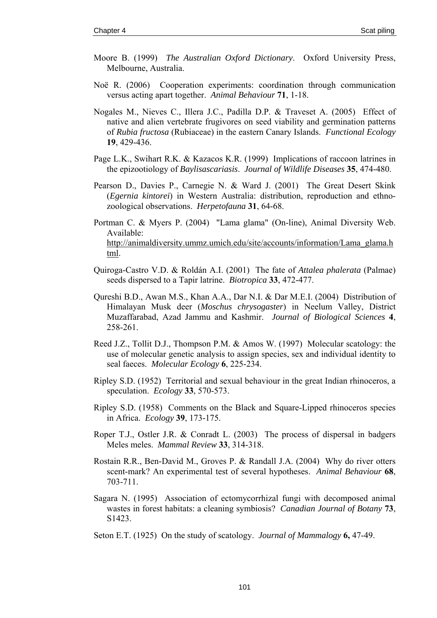- Moore B. (1999) *The Australian Oxford Dictionary*. Oxford University Press, Melbourne, Australia.
- Noë R. (2006) Cooperation experiments: coordination through communication versus acting apart together. *Animal Behaviour* **71**, 1-18.
- Nogales M., Nieves C., Illera J.C., Padilla D.P. & Traveset A. (2005) Effect of native and alien vertebrate frugivores on seed viability and germination patterns of *Rubia fructosa* (Rubiaceae) in the eastern Canary Islands. *Functional Ecology* **19**, 429-436.
- Page L.K., Swihart R.K. & Kazacos K.R. (1999) Implications of raccoon latrines in the epizootiology of *Baylisascariasis*. *Journal of Wildlife Diseases* **35**, 474-480.
- Pearson D., Davies P., Carnegie N. & Ward J. (2001) The Great Desert Skink (*Egernia kintorei*) in Western Australia: distribution, reproduction and ethnozoological observations. *Herpetofauna* **31**, 64-68.
- Portman C. & Myers P. (2004) "Lama glama" (On-line), Animal Diversity Web. Available: [http://animaldiversity.ummz.umich.edu/site/accounts/information/Lama\\_glama.h](http://animaldiversity.ummz.umich.edu/site/accounts/information/Lama_glama.html) [tml](http://animaldiversity.ummz.umich.edu/site/accounts/information/Lama_glama.html).
- Quiroga-Castro V.D. & Roldán A.I. (2001) The fate of *Attalea phalerata* (Palmae) seeds dispersed to a Tapir latrine. *Biotropica* **33**, 472-477.
- Qureshi B.D., Awan M.S., Khan A.A., Dar N.I. & Dar M.E.I. (2004) Distribution of Himalayan Musk deer (*Moschus chrysogaster*) in Neelum Valley, District Muzaffarabad, Azad Jammu and Kashmir. *Journal of Biological Sciences* **4**, 258-261.
- Reed J.Z., Tollit D.J., Thompson P.M. & Amos W. (1997) Molecular scatology: the use of molecular genetic analysis to assign species, sex and individual identity to seal faeces. *Molecular Ecology* **6**, 225-234.
- Ripley S.D. (1952) Territorial and sexual behaviour in the great Indian rhinoceros, a speculation. *Ecology* **33**, 570-573.
- Ripley S.D. (1958) Comments on the Black and Square-Lipped rhinoceros species in Africa. *Ecology* **39**, 173-175.
- Roper T.J., Ostler J.R. & Conradt L. (2003) The process of dispersal in badgers Meles meles. *Mammal Review* **33**, 314-318.
- Rostain R.R., Ben-David M., Groves P. & Randall J.A. (2004) Why do river otters scent-mark? An experimental test of several hypotheses. *Animal Behaviour* **68**, 703-711.
- Sagara N. (1995) Association of ectomycorrhizal fungi with decomposed animal wastes in forest habitats: a cleaning symbiosis? *Canadian Journal of Botany* **73**, S1423.
- Seton E.T. (1925) On the study of scatology. *Journal of Mammalogy* **6,** 47-49.